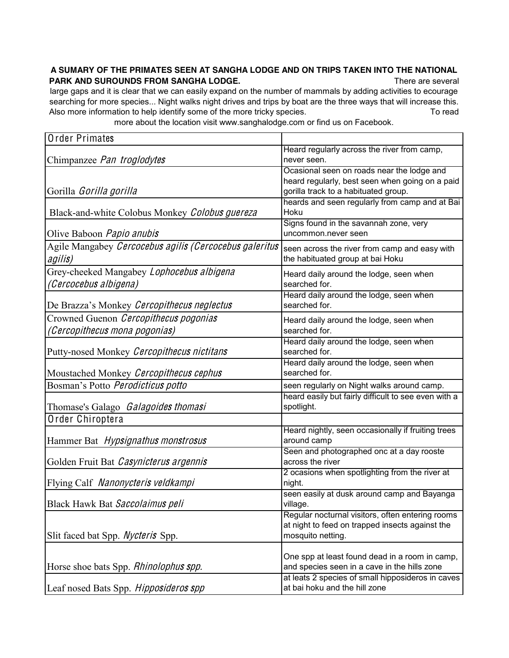## **A SUMARY OF THE PRIMATES SEEN AT SANGHA LODGE AND ON TRIPS TAKEN INTO THE NATIONAL PARK AND SUROUNDS FROM SANGHA LODGE.** There are several

large gaps and it is clear that we can easily expand on the number of mammals by adding activities to ecourage searching for more species... Night walks night drives and trips by boat are the three ways that will increase this. Also more information to help identify some of the more tricky species. To read

more about the location visit www.sanghalodge.com or find us on Facebook.

| <b>Order Primates</b>                                  |                                                                                                     |
|--------------------------------------------------------|-----------------------------------------------------------------------------------------------------|
|                                                        | Heard regularly across the river from camp,                                                         |
| Chimpanzee Pan troglodytes                             | never seen.                                                                                         |
|                                                        | Ocasional seen on roads near the lodge and                                                          |
|                                                        | heard regularly, best seen when going on a paid                                                     |
| Gorilla Gorilla gorilla                                | gorilla track to a habituated group.<br>heards and seen regularly from camp and at Bai              |
| Black-and-white Colobus Monkey Colobus guereza         | Hoku                                                                                                |
|                                                        | Signs found in the savannah zone, very                                                              |
| Olive Baboon <i>Papio anubis</i>                       | uncommon.never seen                                                                                 |
| Agile Mangabey Cercocebus agilis (Cercocebus galeritus |                                                                                                     |
| agilis)                                                | seen across the river from camp and easy with<br>the habituated group at bai Hoku                   |
|                                                        |                                                                                                     |
| Grey-cheeked Mangabey Lophocebus albigena              | Heard daily around the lodge, seen when                                                             |
| (Cercocebus albigena)                                  | searched for.                                                                                       |
| De Brazza's Monkey Cercopithecus neglectus             | Heard daily around the lodge, seen when<br>searched for.                                            |
|                                                        |                                                                                                     |
| Crowned Guenon Cercopithecus pogonias                  | Heard daily around the lodge, seen when                                                             |
| (Cercopithecus mona pogonias)                          | searched for.                                                                                       |
| Putty-nosed Monkey Cercopithecus nictitans             | Heard daily around the lodge, seen when<br>searched for.                                            |
|                                                        | Heard daily around the lodge, seen when                                                             |
| Moustached Monkey Cercopithecus cephus                 | searched for.                                                                                       |
| Bosman's Potto Perodicticus potto                      | seen regularly on Night walks around camp.                                                          |
|                                                        | heard easily but fairly difficult to see even with a                                                |
| Thomase's Galago Galagoides thomasi                    | spotlight.                                                                                          |
| Order Chiroptera                                       |                                                                                                     |
|                                                        | Heard nightly, seen occasionally if fruiting trees                                                  |
| Hammer Bat Hypsignathus monstrosus                     | around camp                                                                                         |
|                                                        | Seen and photographed onc at a day rooste                                                           |
| Golden Fruit Bat Casynicterus argennis                 | across the river                                                                                    |
|                                                        | 2 ocasions when spotlighting from the river at                                                      |
| Flying Calf Nanonycteris veldkampi                     | night.                                                                                              |
|                                                        | seen easily at dusk around camp and Bayanga                                                         |
| Black Hawk Bat Saccolaimus peli                        | village.                                                                                            |
|                                                        | Regular nocturnal visitors, often entering rooms<br>at night to feed on trapped insects against the |
| Slit faced bat Spp. Nycteris Spp.                      | mosquito netting.                                                                                   |
|                                                        |                                                                                                     |
|                                                        | One spp at least found dead in a room in camp,                                                      |
| Horse shoe bats Spp. Rhinolophus spp.                  | and species seen in a cave in the hills zone                                                        |
|                                                        | at leats 2 species of small hipposideros in caves                                                   |
| Leaf nosed Bats Spp. Hipposideros spp                  | at bai hoku and the hill zone                                                                       |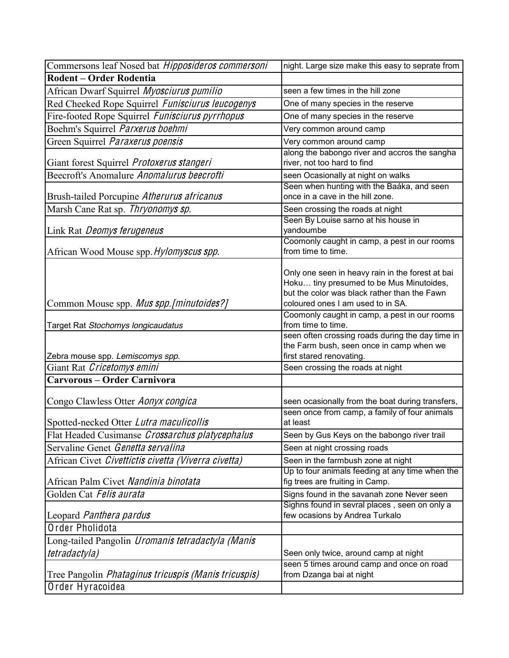| Commersons leaf Nosed bat Hipposideros commersoni    | night. Large size make this easy to seprate from                                                                                                                                  |
|------------------------------------------------------|-----------------------------------------------------------------------------------------------------------------------------------------------------------------------------------|
| <b>Rodent - Order Rodentia</b>                       |                                                                                                                                                                                   |
| African Dwarf Squirrel Myosciurus pumilio            | seen a few times in the hill zone                                                                                                                                                 |
| Red Cheeked Rope Squirrel Funisciurus leucogenys     | One of many species in the reserve                                                                                                                                                |
| Fire-footed Rope Squirrel Funisciurus pyrrhopus      | One of many species in the reserve                                                                                                                                                |
| Boehm's Squirrel Parxerus boehmi                     | Very common around camp                                                                                                                                                           |
| Green Squirrel Paraxerus poensis                     | Very common around camp                                                                                                                                                           |
| Giant forest Squirrel Protoxerus stangeri            | along the babongo river and accros the sangha<br>river, not too hard to find                                                                                                      |
| Beecroft's Anomalure Anomalurus beecrofti            | seen Ocasionally at night on walks                                                                                                                                                |
| Brush-tailed Porcupine Atherurus africanus           | Seen when hunting with the Baáka, and seen<br>once in a cave in the hill zone.                                                                                                    |
| Marsh Cane Rat sp. Thryonomys sp.                    | Seen crossing the roads at night                                                                                                                                                  |
| Link Rat Deomys ferugeneus                           | Seen By Louise sarno at his house in<br>yandoumbe                                                                                                                                 |
| African Wood Mouse spp. Hylomyscus spp.              | Coomonly caught in camp, a pest in our rooms<br>from time to time.                                                                                                                |
| Common Mouse spp. Mus spp. [minutoides?]             | Only one seen in heavy rain in the forest at bai<br>Hoku tiny presumed to be Mus Minutoides,<br>but the color was black rather than the Fawn<br>coloured ones I am used to in SA. |
| Target Rat Stochomys longicaudatus                   | Coomonly caught in camp, a pest in our rooms<br>from time to time.                                                                                                                |
| Zebra mouse spp. Lemiscomys spp.                     | seen often crossing roads during the day time in<br>the Farm bush, seen once in camp when we<br>first stared renovating.                                                          |
| Giant Rat Cricetomys emini                           | Seen crossing the roads at night                                                                                                                                                  |
| <b>Carvorous - Order Carnivora</b>                   |                                                                                                                                                                                   |
| Congo Clawless Otter Aonyx congica                   | seen ocasionally from the boat during transfers,                                                                                                                                  |
| Spotted-necked Otter Lutra maculicollis              | seen once from camp, a family of four animals<br>at least                                                                                                                         |
| Flat Headed Cusimanse Crossarchus platycephalus      | Seen by Gus Keys on the babongo river trail                                                                                                                                       |
| Servaline Genet Genetta servalina                    | Seen at night crossing roads                                                                                                                                                      |
| African Civet Civettictis civetta (Viverra civetta)  | Seen in the farmbush zone at night                                                                                                                                                |
| African Palm Civet Nandinia binotata                 | Up to four animals feeding at any time when the<br>fig trees are fruiting in Camp.                                                                                                |
| Golden Cat Felis aurata                              | Signs found in the savanah zone Never seen                                                                                                                                        |
| Leopard Panthera pardus                              | Sighns found in sevral places, seen on only a<br>few ocasions by Andrea Turkalo                                                                                                   |
| Order Pholidota                                      |                                                                                                                                                                                   |
| Long-tailed Pangolin Uromanis tetradactyla (Manis    |                                                                                                                                                                                   |
| tetradactyla)                                        | Seen only twice, around camp at night                                                                                                                                             |
| Tree Pangolin Phataginus tricuspis (Manis tricuspis) | seen 5 times around camp and once on road<br>from Dzanga bai at night                                                                                                             |
| Order Hyracoidea                                     |                                                                                                                                                                                   |